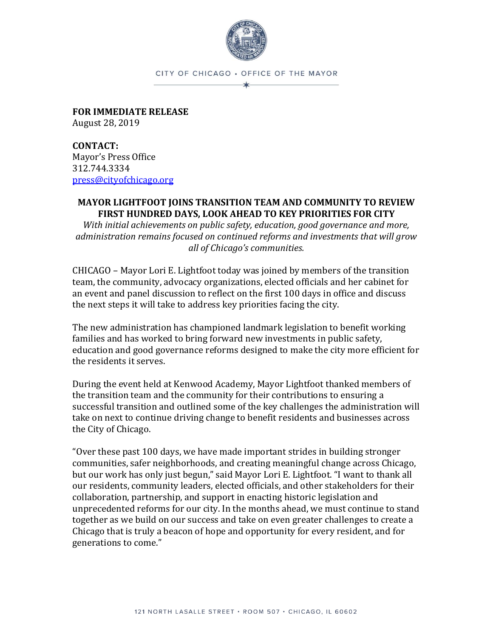

CITY OF CHICAGO . OFFICE OF THE MAYOR  $\star$ 

**FOR IMMEDIATE RELEASE** August 28, 2019

**CONTACT:** Mayor's Press Office 312.744.3334 [press@cityofchicago.org](mailto:press@cityofchicago.org)

## **MAYOR LIGHTFOOT JOINS TRANSITION TEAM AND COMMUNITY TO REVIEW FIRST HUNDRED DAYS, LOOK AHEAD TO KEY PRIORITIES FOR CITY**

*With initial achievements on public safety, education, good governance and more, administration remains focused on continued reforms and investments that will grow all of Chicago's communities.*

CHICAGO – Mayor Lori E. Lightfoot today was joined by members of the transition team, the community, advocacy organizations, elected officials and her cabinet for an event and panel discussion to reflect on the first 100 days in office and discuss the next steps it will take to address key priorities facing the city.

The new administration has championed landmark legislation to benefit working families and has worked to bring forward new investments in public safety, education and good governance reforms designed to make the city more efficient for the residents it serves.

During the event held at Kenwood Academy, Mayor Lightfoot thanked members of the transition team and the community for their contributions to ensuring a successful transition and outlined some of the key challenges the administration will take on next to continue driving change to benefit residents and businesses across the City of Chicago.

"Over these past 100 days, we have made important strides in building stronger communities, safer neighborhoods, and creating meaningful change across Chicago, but our work has only just begun," said Mayor Lori E. Lightfoot. "I want to thank all our residents, community leaders, elected officials, and other stakeholders for their collaboration, partnership, and support in enacting historic legislation and unprecedented reforms for our city. In the months ahead, we must continue to stand together as we build on our success and take on even greater challenges to create a Chicago that is truly a beacon of hope and opportunity for every resident, and for generations to come."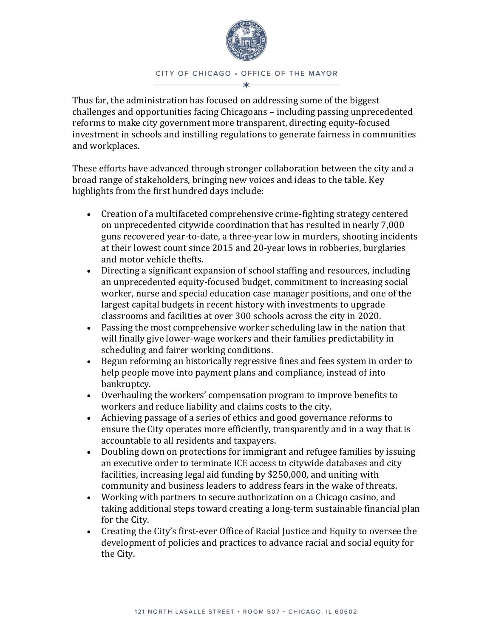

## CITY OF CHICAGO . OFFICE OF THE MAYOR

Thus far, the administration has focused on addressing some of the biggest challenges and opportunities facing Chicagoans – including passing unprecedented reforms to make city government more transparent, directing equity-focused investment in schools and instilling regulations to generate fairness in communities and workplaces.

These efforts have advanced through stronger collaboration between the city and a broad range of stakeholders, bringing new voices and ideas to the table. Key highlights from the first hundred days include:

- Creation of a multifaceted comprehensive crime-fighting strategy centered on unprecedented citywide coordination that has resulted in nearly 7,000 guns recovered year-to-date, a three-year low in murders, shooting incidents at their lowest count since 2015 and 20-year lows in robberies, burglaries and motor vehicle thefts.
- Directing a significant expansion of school staffing and resources, including an unprecedented equity-focused budget, commitment to increasing social worker, nurse and special education case manager positions, and one of the largest capital budgets in recent history with investments to upgrade classrooms and facilities at over 300 schools across the city in 2020.
- Passing the most comprehensive worker scheduling law in the nation that will finally give lower-wage workers and their families predictability in scheduling and fairer working conditions.
- Begun reforming an historically regressive fines and fees system in order to help people move into payment plans and compliance, instead of into bankruptcy.
- Overhauling the workers' compensation program to improve benefits to workers and reduce liability and claims costs to the city.
- Achieving passage of a series of ethics and good governance reforms to ensure the City operates more efficiently, transparently and in a way that is accountable to all residents and taxpayers.
- Doubling down on protections for immigrant and refugee families by issuing an executive order to terminate ICE access to citywide databases and city facilities, increasing legal aid funding by \$250,000, and uniting with community and business leaders to address fears in the wake of threats.
- Working with partners to secure authorization on a Chicago casino, and taking additional steps toward creating a long-term sustainable financial plan for the City.
- Creating the City's first-ever Office of Racial Justice and Equity to oversee the development of policies and practices to advance racial and social equity for the City.